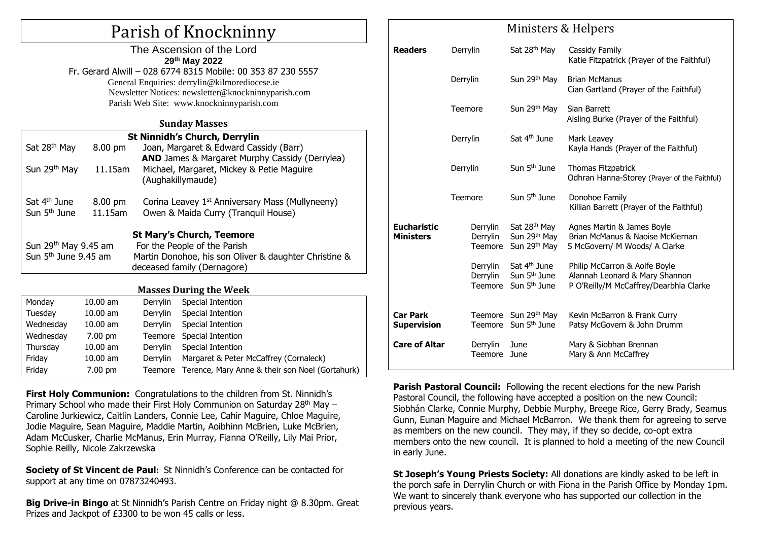# Parish of Knockninny

| The Ascension of the Lord                                    |
|--------------------------------------------------------------|
| 29th May 2022                                                |
| Fr. Gerard Alwill - 028 6774 8315 Mobile: 00 353 87 230 5557 |
| General Enquiries: derrylin@kilmorediocese.ie                |
| Newsletter Notices: newsletter@knockninnyparish.com          |
| Parish Web Site: www.knockninnyparish.com                    |
|                                                              |

#### **Sunday Masses**

| <b>St Ninnidh's Church, Derrylin</b>                                 |                   |                                                                                                                                                          |  |  |  |  |  |
|----------------------------------------------------------------------|-------------------|----------------------------------------------------------------------------------------------------------------------------------------------------------|--|--|--|--|--|
| Sat 28 <sup>th</sup> May                                             | 8.00 pm           | Joan, Margaret & Edward Cassidy (Barr)                                                                                                                   |  |  |  |  |  |
| Sun 29th May                                                         | 11.15am           | AND James & Margaret Murphy Cassidy (Derrylea)<br>Michael, Margaret, Mickey & Petie Maguire<br>(Aughakillymaude)                                         |  |  |  |  |  |
| Sat 4 <sup>th</sup> June                                             | $8.00 \text{ pm}$ | Corina Leavey 1 <sup>st</sup> Anniversary Mass (Mullyneeny)                                                                                              |  |  |  |  |  |
| Sun 5 <sup>th</sup> June                                             | 11.15am           | Owen & Maida Curry (Tranquil House)                                                                                                                      |  |  |  |  |  |
| Sun 29 <sup>th</sup> May 9.45 am<br>Sun 5 <sup>th</sup> June 9.45 am |                   | <b>St Mary's Church, Teemore</b><br>For the People of the Parish<br>Martin Donohoe, his son Oliver & daughter Christine &<br>deceased family (Dernagore) |  |  |  |  |  |
|                                                                      |                   | $M_{22222} \cdot R_{22222} = L_{22} \cdot M_{22}$                                                                                                        |  |  |  |  |  |

#### **Masses During the Week**

| Monday    | $10.00$ am        | Derrylin | Special Intention                               |  |
|-----------|-------------------|----------|-------------------------------------------------|--|
| Tuesday   | $10.00$ am        | Derrylin | Special Intention                               |  |
| Wednesday | $10.00$ am        | Derrylin | Special Intention                               |  |
| Wednesday | $7.00 \text{ pm}$ |          | Teemore Special Intention                       |  |
| Thursday  | $10.00$ am        | Derrylin | Special Intention                               |  |
| Friday    | $10.00$ am        | Derrylin | Margaret & Peter McCaffrey (Cornaleck)          |  |
| Friday    | $7.00 \text{ pm}$ | Teemore  | Terence, Mary Anne & their son Noel (Gortahurk) |  |

**First Holy Communion:** Congratulations to the children from St. Ninnidh's Primary School who made their First Holy Communion on Saturday 28<sup>th</sup> May -Caroline Jurkiewicz, Caitlin Landers, Connie Lee, Cahir Maguire, Chloe Maguire, Jodie Maguire, Sean Maguire, Maddie Martin, Aoibhinn McBrien, Luke McBrien, Adam McCusker, Charlie McManus, Erin Murray, Fianna O'Reilly, Lily Mai Prior, Sophie Reilly, Nicole Zakrzewska

**Society of St Vincent de Paul:** St Ninnidh's Conference can be contacted for support at any time on 07873240493.

**Big Drive-in Bingo** at St Ninnidh's Parish Centre on Friday night @ 8.30pm. Great Prizes and Jackpot of £3300 to be won 45 calls or less.

| MINISICIS & HEIPELS                    |                                 |                                                                                  |                                                                                                           |  |  |
|----------------------------------------|---------------------------------|----------------------------------------------------------------------------------|-----------------------------------------------------------------------------------------------------------|--|--|
| <b>Readers</b>                         | Derrylin                        | Sat 28 <sup>th</sup> May                                                         | Cassidy Family<br>Katie Fitzpatrick (Prayer of the Faithful)                                              |  |  |
|                                        | Derrylin                        | Sun 29 <sup>th</sup> May                                                         | <b>Brian McManus</b><br>Cian Gartland (Prayer of the Faithful)                                            |  |  |
|                                        | Teemore                         | Sun 29 <sup>th</sup> May                                                         | Sian Barrett<br>Aisling Burke (Prayer of the Faithful)                                                    |  |  |
|                                        | Derrylin                        | Sat 4 <sup>th</sup> June                                                         | Mark Leavey<br>Kayla Hands (Prayer of the Faithful)                                                       |  |  |
|                                        | Derrylin                        | Sun 5 <sup>th</sup> June                                                         | Thomas Fitzpatrick<br>Odhran Hanna-Storey (Prayer of the Faithful)                                        |  |  |
|                                        | Teemore                         | Sun 5 <sup>th</sup> June                                                         | Donohoe Family<br>Killian Barrett (Prayer of the Faithful)                                                |  |  |
| <b>Eucharistic</b><br><b>Ministers</b> | Derrylin<br>Derrylin<br>Teemore | Sat 28 <sup>th</sup> May<br>Sun 29th May<br>Sun 29th May                         | Agnes Martin & James Boyle<br>Brian McManus & Naoise McKiernan<br>S McGovern/ M Woods/ A Clarke           |  |  |
|                                        | Derrylin<br>Derrylin<br>Teemore | Sat 4 <sup>th</sup> June<br>Sun 5 <sup>th</sup> June<br>Sun 5 <sup>th</sup> June | Philip McCarron & Aoife Boyle<br>Alannah Leonard & Mary Shannon<br>P O'Reilly/M McCaffrey/Dearbhla Clarke |  |  |
| <b>Car Park</b><br><b>Supervision</b>  |                                 | Teemore Sun 29th May<br>Teemore Sun 5 <sup>th</sup> June                         | Kevin McBarron & Frank Curry<br>Patsy McGovern & John Drumm                                               |  |  |
| <b>Care of Altar</b>                   | Derrylin<br>Teemore             | June<br>June                                                                     | Mary & Siobhan Brennan<br>Mary & Ann McCaffrey                                                            |  |  |

Ministors & Holpers

**Parish Pastoral Council:** Following the recent elections for the new Parish Pastoral Council, the following have accepted a position on the new Council: Siobhán Clarke, Connie Murphy, Debbie Murphy, Breege Rice, Gerry Brady, Seamus Gunn, Eunan Maguire and Michael McBarron. We thank them for agreeing to serve as members on the new council. They may, if they so decide, co-opt extra members onto the new council. It is planned to hold a meeting of the new Council in early June.

**St Joseph's Young Priests Society:** All donations are kindly asked to be left in the porch safe in Derrylin Church or with Fiona in the Parish Office by Monday 1pm. We want to sincerely thank everyone who has supported our collection in the previous years.